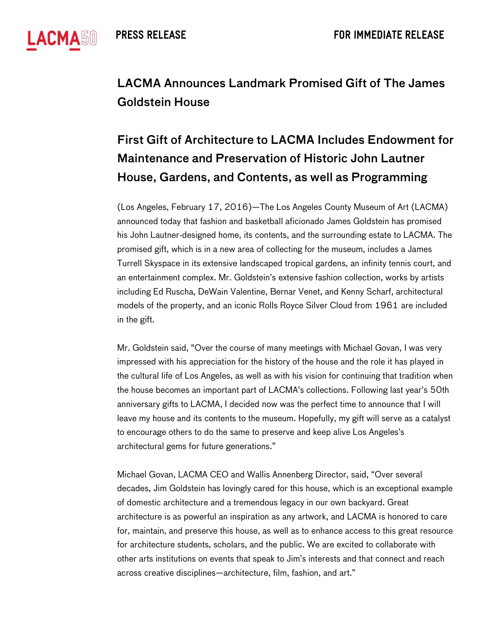

## LACMA Announces Landmark Promised Gift of The James Goldstein House

## First Gift of Architecture to LACMA Includes Endowment for Maintenance and Preservation of Historic John Lautner House, Gardens, and Contents, as well as Programming

(Los Angeles, February 17, 2016)—The Los Angeles County Museum of Art (LACMA) announced today that fashion and basketball aficionado James Goldstein has promised his John Lautner-designed home, its contents, and the surrounding estate to LACMA. The promised gift, which is in a new area of collecting for the museum, includes a James Turrell Skyspace in its extensive landscaped tropical gardens, an infinity tennis court, and an entertainment complex. Mr. Goldstein's extensive fashion collection, works by artists including Ed Ruscha, DeWain Valentine, Bernar Venet, and Kenny Scharf, architectural models of the property, and an iconic Rolls Royce Silver Cloud from 1961 are included in the gift.

Mr. Goldstein said, "Over the course of many meetings with Michael Govan, I was very impressed with his appreciation for the history of the house and the role it has played in the cultural life of Los Angeles, as well as with his vision for continuing that tradition when the house becomes an important part of LACMA's collections. Following last year's 50th anniversary gifts to LACMA, I decided now was the perfect time to announce that I will leave my house and its contents to the museum. Hopefully, my gift will serve as a catalyst to encourage others to do the same to preserve and keep alive Los Angeles's architectural gems for future generations."

Michael Govan, LACMA CEO and Wallis Annenberg Director, said, "Over several decades, Jim Goldstein has lovingly cared for this house, which is an exceptional example of domestic architecture and a tremendous legacy in our own backyard. Great architecture is as powerful an inspiration as any artwork, and LACMA is honored to care for, maintain, and preserve this house, as well as to enhance access to this great resource for architecture students, scholars, and the public. We are excited to collaborate with other arts institutions on events that speak to Jim's interests and that connect and reach across creative disciplines—architecture, film, fashion, and art."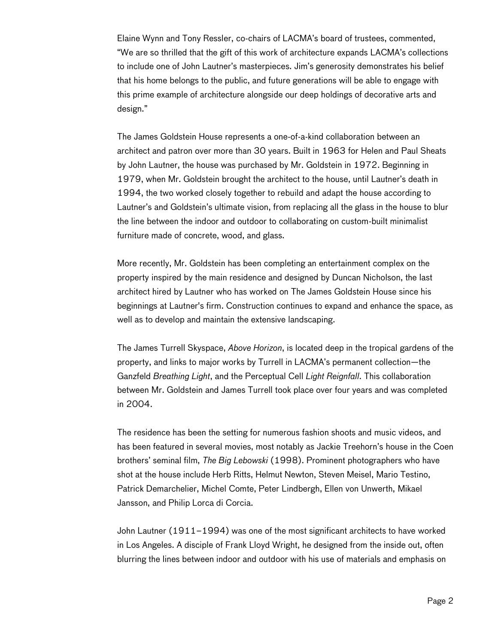Elaine Wynn and Tony Ressler, co-chairs of LACMA's board of trustees, commented, "We are so thrilled that the gift of this work of architecture expands LACMA's collections to include one of John Lautner's masterpieces. Jim's generosity demonstrates his belief that his home belongs to the public, and future generations will be able to engage with this prime example of architecture alongside our deep holdings of decorative arts and design."

The James Goldstein House represents a one-of-a-kind collaboration between an architect and patron over more than 30 years. Built in 1963 for Helen and Paul Sheats by John Lautner, the house was purchased by Mr. Goldstein in 1972. Beginning in 1979, when Mr. Goldstein brought the architect to the house, until Lautner's death in 1994, the two worked closely together to rebuild and adapt the house according to Lautner's and Goldstein's ultimate vision, from replacing all the glass in the house to blur the line between the indoor and outdoor to collaborating on custom-built minimalist furniture made of concrete, wood, and glass.

More recently, Mr. Goldstein has been completing an entertainment complex on the property inspired by the main residence and designed by Duncan Nicholson, the last architect hired by Lautner who has worked on The James Goldstein House since his beginnings at Lautner's firm. Construction continues to expand and enhance the space, as well as to develop and maintain the extensive landscaping.

The James Turrell Skyspace, *Above Horizon*, is located deep in the tropical gardens of the property, and links to major works by Turrell in LACMA's permanent collection—the Ganzfeld *Breathing Light*, and the Perceptual Cell *Light Reignfall*. This collaboration between Mr. Goldstein and James Turrell took place over four years and was completed in 2004.

The residence has been the setting for numerous fashion shoots and music videos, and has been featured in several movies, most notably as Jackie Treehorn's house in the Coen brothers' seminal film, *The Big Lebowski* (1998). Prominent photographers who have shot at the house include Herb Ritts, Helmut Newton, Steven Meisel, Mario Testino, Patrick Demarchelier, Michel Comte, Peter Lindbergh, Ellen von Unwerth, Mikael Jansson, and Philip Lorca di Corcia.

John Lautner (1911–1994) was one of the most significant architects to have worked in Los Angeles. A disciple of Frank Lloyd Wright, he designed from the inside out, often blurring the lines between indoor and outdoor with his use of materials and emphasis on